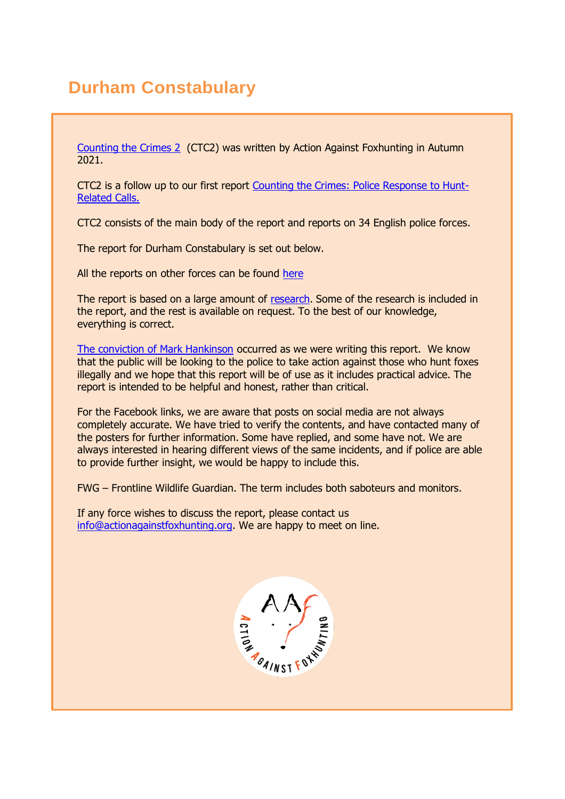# **Durham Constabulary**

[Counting the Crimes 2](https://www.actionagainstfoxhunting.org/counting-the-crimes2-the-police-response/) (CTC2) was written by Action Against Foxhunting in Autumn 2021.

CTC2 is a follow up to our first report [Counting the Crimes: Police Response to Hunt-](https://www.actionagainstfoxhunting.org/counting-the-crimes/)[Related Calls.](https://www.actionagainstfoxhunting.org/counting-the-crimes/)

CTC2 consists of the main body of the report and reports on 34 English police forces.

The report for Durham Constabulary is set out below.

All the reports on other forces can be found [here](https://www.actionagainstfoxhunting.org/counting-the-crimes2-the-police-response/)

The report is based on a large amount of [research.](https://www.actionagainstfoxhunting.org/wp-content/uploads/2021/11/A-1411-Research-for-CTC2.pdf) Some of the research is included in the report, and the rest is available on request. To the best of our knowledge, everything is correct.

[The conviction of Mark Hankinson](https://www.league.org.uk/news-and-resources/news/hunting-office-webinars-the-road-to-conviction/) occurred as we were writing this report. We know that the public will be looking to the police to take action against those who hunt foxes illegally and we hope that this report will be of use as it includes practical advice. The report is intended to be helpful and honest, rather than critical.

For the Facebook links, we are aware that posts on social media are not always completely accurate. We have tried to verify the contents, and have contacted many of the posters for further information. Some have replied, and some have not. We are always interested in hearing different views of the same incidents, and if police are able to provide further insight, we would be happy to include this.

FWG – Frontline Wildlife Guardian. The term includes both saboteurs and monitors.

If any force wishes to discuss the report, please contact us [info@actionagainstfoxhunting.org.](mailto:info@actionagainstfoxhunting.org) We are happy to meet on line.

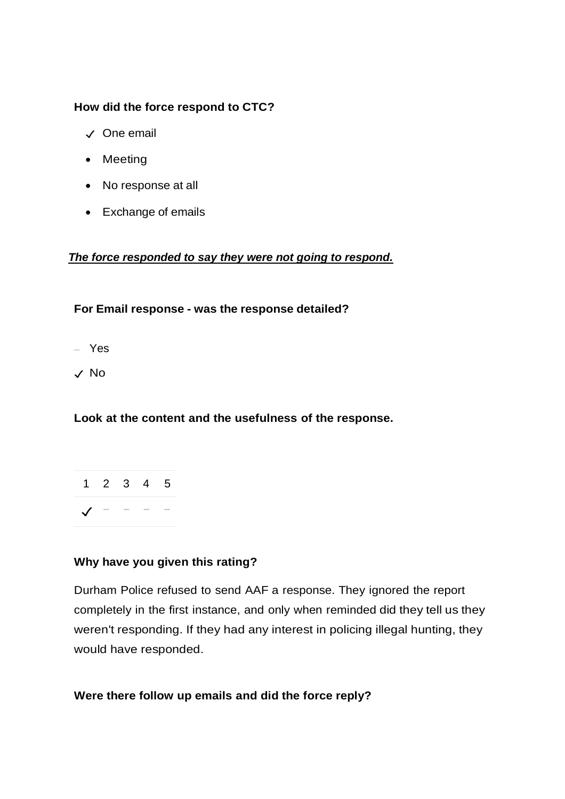#### **How did the force respond to CTC?**

- ✓ One email
- Meeting
- No response at all
- Exchange of emails

#### *The force responded to say they were not going to respond.*

#### **For Email response - was the response detailed?**

- Yes
- ✓ No

#### **Look at the content and the usefulness of the response.**

|                                                                                 |  | 1 2 3 4 5 |
|---------------------------------------------------------------------------------|--|-----------|
| $\begin{array}{ccccccccc}\n\sqrt{ & & - & & - & & - & & - & & - \\ \end{array}$ |  |           |

#### **Why have you given this rating?**

Durham Police refused to send AAF a response. They ignored the report completely in the first instance, and only when reminded did they tell us they weren't responding. If they had any interest in policing illegal hunting, they would have responded.

#### **Were there follow up emails and did the force reply?**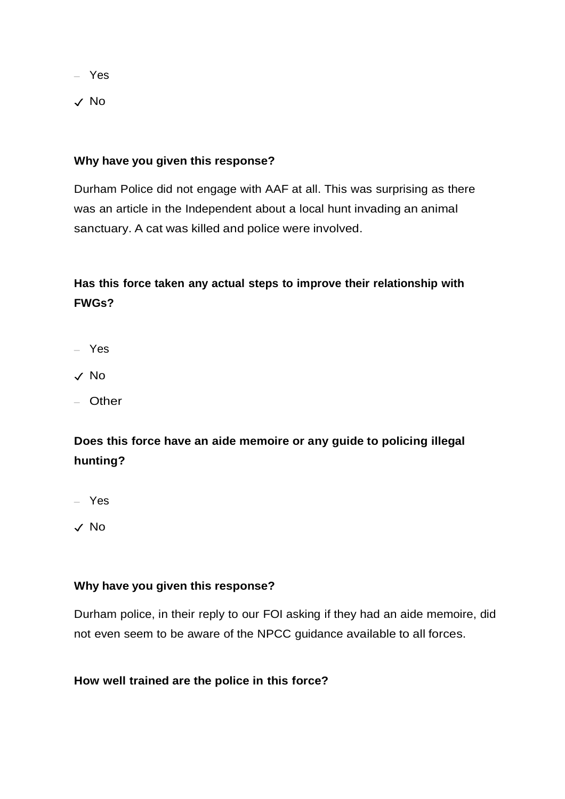– Yes

✓ No

#### **Why have you given this response?**

Durham Police did not engage with AAF at all. This was surprising as there was an article in the Independent about a local hunt invading an animal sanctuary. A cat was killed and police were involved.

### **Has this force taken any actual steps to improve their relationship with FWGs?**

- Yes
- ✓ No
- Other

### **Does this force have an aide memoire or any guide to policing illegal hunting?**

– Yes

✓ No

#### **Why have you given this response?**

Durham police, in their reply to our FOI asking if they had an aide memoire, did not even seem to be aware of the NPCC guidance available to all forces.

#### **How well trained are the police in this force?**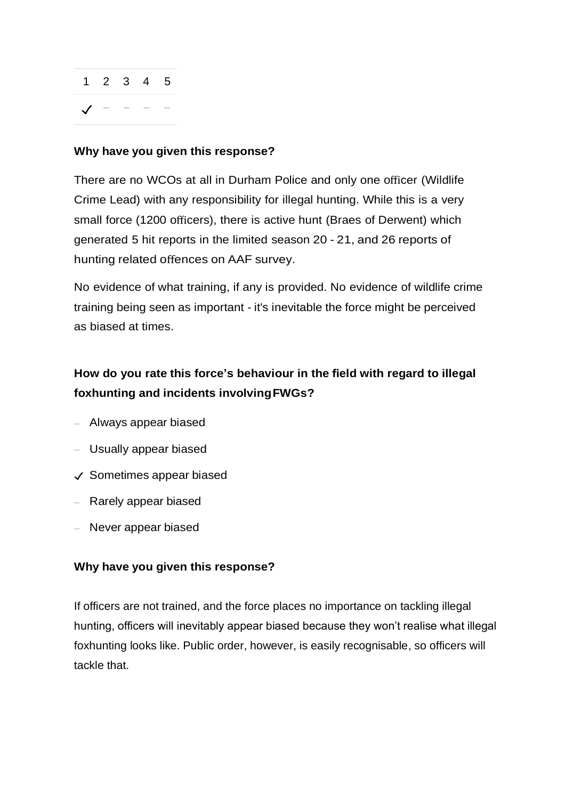

#### **Why have you given this response?**

There are no WCOs at all in Durham Police and only one officer (Wildlife Crime Lead) with any responsibility for illegal hunting. While this is a very small force (1200 officers), there is active hunt (Braes of Derwent) which generated 5 hit reports in the limited season 20 - 21, and 26 reports of hunting related offences on AAF survey.

No evidence of what training, if any is provided. No evidence of wildlife crime training being seen as important - it's inevitable the force might be perceived as biased at times.

### **How do you rate this force's behaviour in the field with regard to illegal foxhunting and incidents involvingFWGs?**

- Always appear biased
- Usually appear biased
- ✓ Sometimes appear biased
- Rarely appear biased
- Never appear biased

#### **Why have you given this response?**

If officers are not trained, and the force places no importance on tackling illegal hunting, officers will inevitably appear biased because they won't realise what illegal foxhunting looks like. Public order, however, is easily recognisable, so officers will tackle that.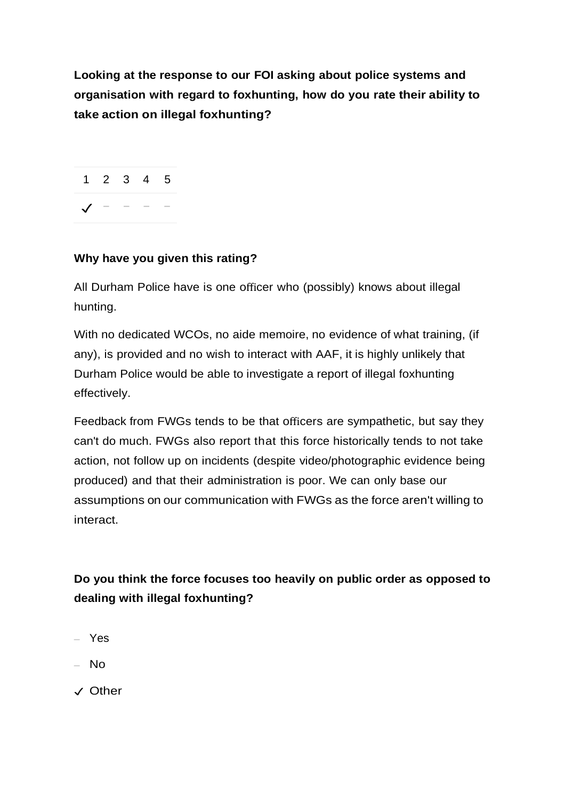**Looking at the response to our FOI asking about police systems and organisation with regard to foxhunting, how do you rate their ability to take action on illegal foxhunting?**

1 2 3 4 5  $J - - - -$ 

#### **Why have you given this rating?**

All Durham Police have is one officer who (possibly) knows about illegal hunting.

With no dedicated WCOs, no aide memoire, no evidence of what training, (if any), is provided and no wish to interact with AAF, it is highly unlikely that Durham Police would be able to investigate a report of illegal foxhunting effectively.

Feedback from FWGs tends to be that officers are sympathetic, but say they can't do much. FWGs also report that this force historically tends to not take action, not follow up on incidents (despite video/photographic evidence being produced) and that their administration is poor. We can only base our assumptions on our communication with FWGs as the force aren't willing to interact.

**Do you think the force focuses too heavily on public order as opposed to dealing with illegal foxhunting?**

- Yes
- No
- ✓ Other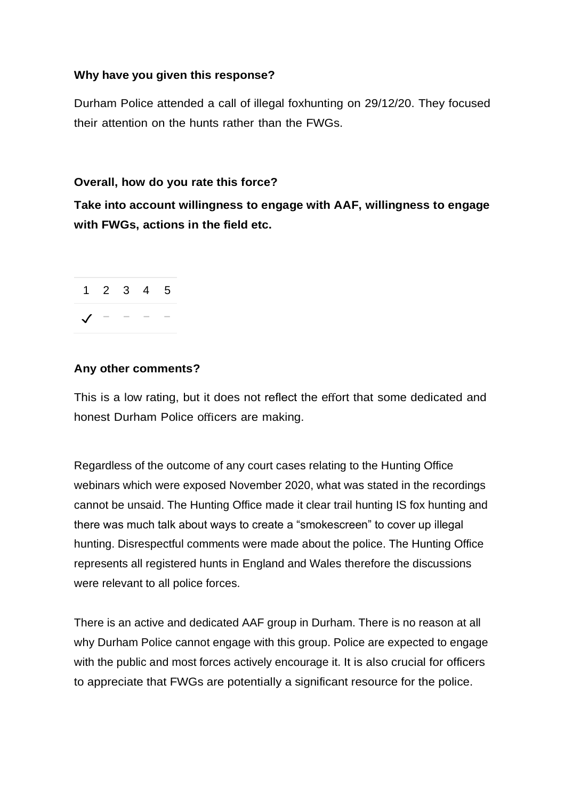#### **Why have you given this response?**

Durham Police attended a call of illegal foxhunting on 29/12/20. They focused their attention on the hunts rather than the FWGs.

#### **Overall, how do you rate this force?**

**Take into account willingness to engage with AAF, willingness to engage with FWGs, actions in the field etc.**



#### **Any other comments?**

This is a low rating, but it does not reflect the effort that some dedicated and honest Durham Police officers are making.

Regardless of the outcome of any court cases relating to the Hunting Office webinars which were exposed November 2020, what was stated in the recordings cannot be unsaid. The Hunting Office made it clear trail hunting IS fox hunting and there was much talk about ways to create a "smokescreen" to cover up illegal hunting. Disrespectful comments were made about the police. The Hunting Office represents all registered hunts in England and Wales therefore the discussions were relevant to all police forces.

There is an active and dedicated AAF group in Durham. There is no reason at all why Durham Police cannot engage with this group. Police are expected to engage with the public and most forces actively encourage it. It is also crucial for officers to appreciate that FWGs are potentially a significant resource for the police.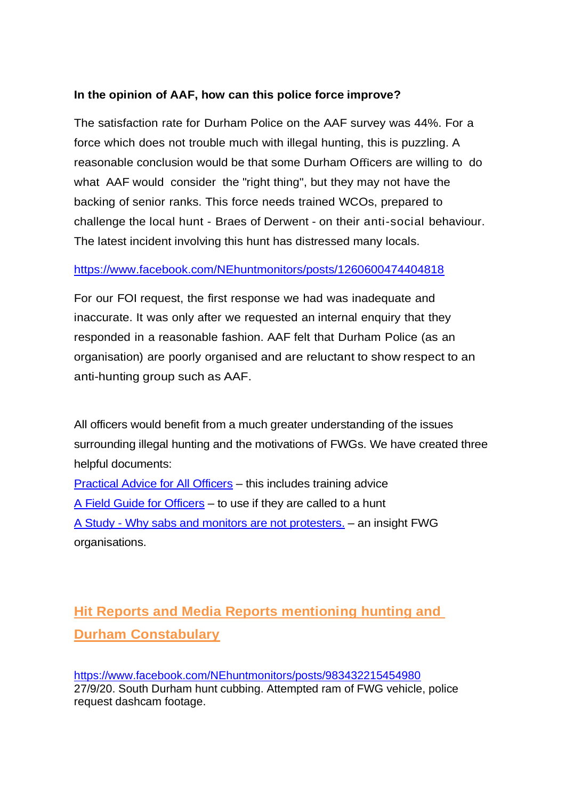#### **In the opinion of AAF, how can this police force improve?**

The satisfaction rate for Durham Police on the AAF survey was 44%. For a force which does not trouble much with illegal hunting, this is puzzling. A reasonable conclusion would be that some Durham Officers are willing to do what AAF would consider the "right thing", but they may not have the backing of senior ranks. This force needs trained WCOs, prepared to challenge the local hunt - Braes of Derwent - on their anti-social behaviour. The latest incident involving this hunt has distressed many locals.

#### <https://www.facebook.com/NEhuntmonitors/posts/1260600474404818>

For our FOI request, the first response we had was inadequate and inaccurate. It was only after we requested an internal enquiry that they responded in a reasonable fashion. AAF felt that Durham Police (as an organisation) are poorly organised and are reluctant to show respect to an anti-hunting group such as AAF.

All officers would benefit from a much greater understanding of the issues surrounding illegal hunting and the motivations of FWGs. We have created three helpful documents:

[Practical Advice for All Officers](https://www.actionagainstfoxhunting.org/wp-content/uploads/2021/11/B-1411-Practical-Advice-for-all-Police-Forces.pdf) – this includes training advice [A Field Guide for Officers](https://www.actionagainstfoxhunting.org/wp-content/uploads/2021/11/A-1411-FIELD-GUIDE-ILLEGAL-FOXHUNTING.pdf) – to use if they are called to a hunt A Study - [Why sabs and monitors are not protesters.](https://www.actionagainstfoxhunting.org/wp-content/uploads/2021/11/A-1411-Why-sabs-and-monitors-arent-protesters.pdf) – an insight FWG organisations.

## **Hit Reports and Media Reports mentioning hunting and Durham Constabulary**

<https://www.facebook.com/NEhuntmonitors/posts/983432215454980> 27/9/20. South Durham hunt cubbing. Attempted ram of FWG vehicle, police request dashcam footage.